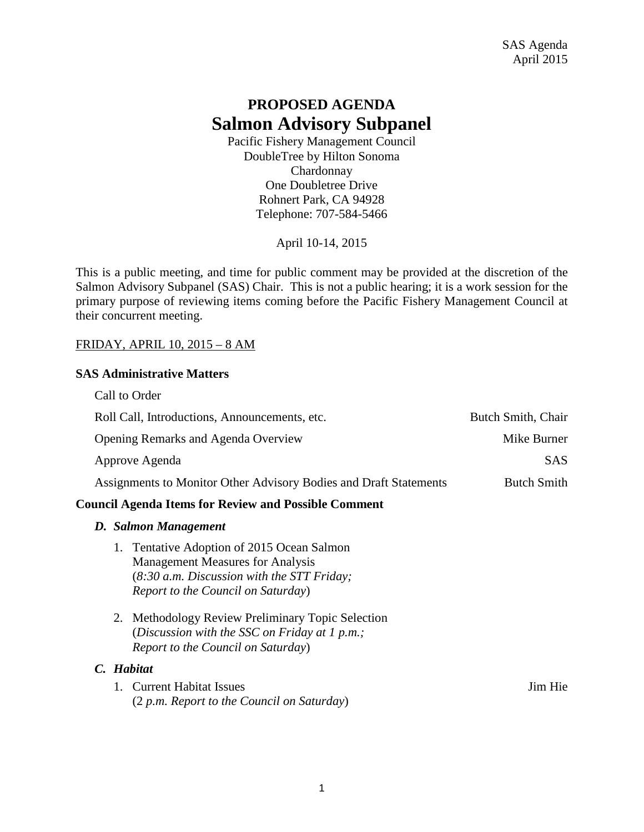# **PROPOSED AGENDA Salmon Advisory Subpanel**

Pacific Fishery Management Council DoubleTree by Hilton Sonoma Chardonnay One Doubletree Drive Rohnert Park, CA 94928 Telephone: 707-584-5466

April 10-14, 2015

This is a public meeting, and time for public comment may be provided at the discretion of the Salmon Advisory Subpanel (SAS) Chair. This is not a public hearing; it is a work session for the primary purpose of reviewing items coming before the Pacific Fishery Management Council at their concurrent meeting.

#### FRIDAY, APRIL 10, 2015 – 8 AM

#### **SAS Administrative Matters**

| D. Salmon Management                                              |                    |
|-------------------------------------------------------------------|--------------------|
| <b>Council Agenda Items for Review and Possible Comment</b>       |                    |
| Assignments to Monitor Other Advisory Bodies and Draft Statements | <b>Butch Smith</b> |
| Approve Agenda                                                    | <b>SAS</b>         |
| Opening Remarks and Agenda Overview                               | Mike Burner        |
| Roll Call, Introductions, Announcements, etc.                     | Butch Smith, Chair |
| Call to Order                                                     |                    |

- 1. Tentative Adoption of 2015 Ocean Salmon Management Measures for Analysis (*8:30 a.m. Discussion with the STT Friday; Report to the Council on Saturday*)
- 2. Methodology Review Preliminary Topic Selection (*Discussion with the SSC on Friday at 1 p.m.; Report to the Council on Saturday*)

#### *C. Habitat*

1. Current Habitat Issues Jim Hie (2 *p.m. Report to the Council on Saturday*)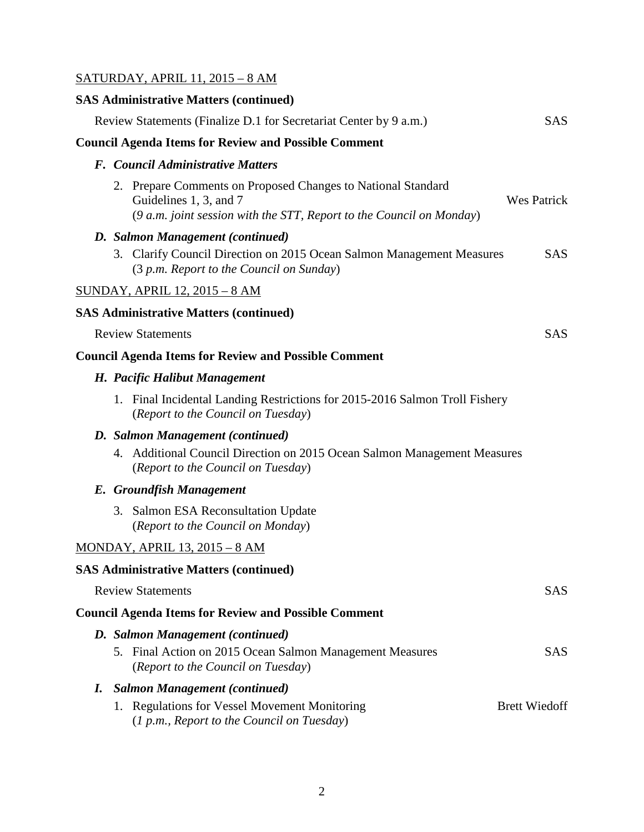#### SATURDAY, APRIL 11, 2015 – 8 AM

# **SAS Administrative Matters (continued)** Review Statements (Finalize D.1 for Secretariat Center by 9 a.m.) SAS **Council Agenda Items for Review and Possible Comment** *F. Council Administrative Matters* 2. Prepare Comments on Proposed Changes to National Standard Guidelines 1, 3, and 7 Wes Patrick (*9 a.m. joint session with the STT, Report to the Council on Monday*) *D. Salmon Management (continued)* 3. Clarify Council Direction on 2015 Ocean Salmon Management Measures SAS (3 *p.m. Report to the Council on Sunday*) SUNDAY, APRIL 12, 2015 – 8 AM **SAS Administrative Matters (continued)** Review Statements SAS **Council Agenda Items for Review and Possible Comment** *H. Pacific Halibut Management* 1. Final Incidental Landing Restrictions for 2015-2016 Salmon Troll Fishery (*Report to the Council on Tuesday*) *D. Salmon Management (continued)* 4. Additional Council Direction on 2015 Ocean Salmon Management Measures (*Report to the Council on Tuesday*) *E. Groundfish Management* 3. Salmon ESA Reconsultation Update (*Report to the Council on Monday*) MONDAY, APRIL 13, 2015 – 8 AM **SAS Administrative Matters (continued)** Review Statements SAS **Council Agenda Items for Review and Possible Comment** *D. Salmon Management (continued)* 5. Final Action on 2015 Ocean Salmon Management Measures SAS

- (*Report to the Council on Tuesday*) *I. Salmon Management (continued)* 1. Regulations for Vessel Movement Monitoring Brett Wiedoff
	- (*1 p.m., Report to the Council on Tuesday*)